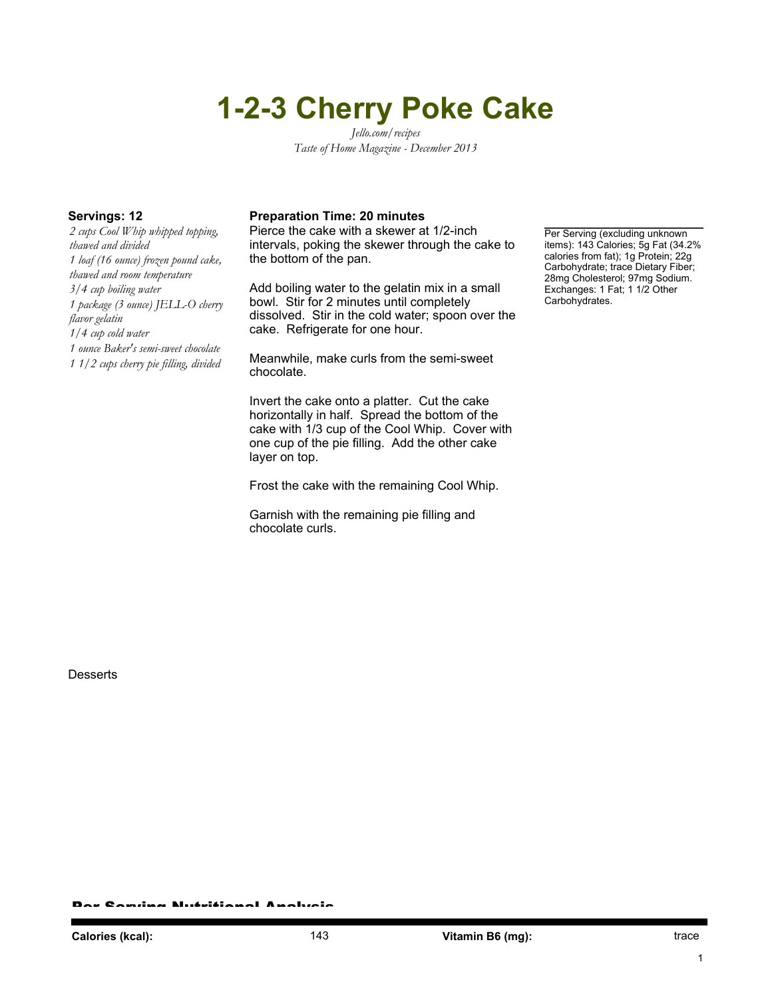# **1-2-3 Cherry Poke Cake**

*Jello.com/recipes Taste of Home Magazine - December 2013*

*2 cups Cool Whip whipped topping, thawed and divided 1 loaf (16 ounce) frozen pound cake, thawed and room temperature 3/4 cup boiling water 1 package (3 ounce) JELL-O cherry flavor gelatin 1/4 cup cold water 1 ounce Baker's semi-sweet chocolate 1 1/2 cups cherry pie filling, divided*

### **Servings: 12 Preparation Time: 20 minutes**

Pierce the cake with a skewer at 1/2-inch intervals, poking the skewer through the cake to the bottom of the pan.

Add boiling water to the gelatin mix in a small bowl. Stir for 2 minutes until completely dissolved. Stir in the cold water; spoon over the cake. Refrigerate for one hour.

Meanwhile, make curls from the semi-sweet chocolate.

Invert the cake onto a platter. Cut the cake horizontally in half. Spread the bottom of the cake with 1/3 cup of the Cool Whip. Cover with one cup of the pie filling. Add the other cake layer on top.

Frost the cake with the remaining Cool Whip.

Garnish with the remaining pie filling and chocolate curls.

Per Serving (excluding unknown items): 143 Calories; 5g Fat (34.2% calories from fat); 1g Protein; 22g Carbohydrate; trace Dietary Fiber; 28mg Cholesterol; 97mg Sodium. Exchanges: 1 Fat; 1 1/2 Other Carbohydrates.

**Desserts** 

Per Serving Nutritional Analysis